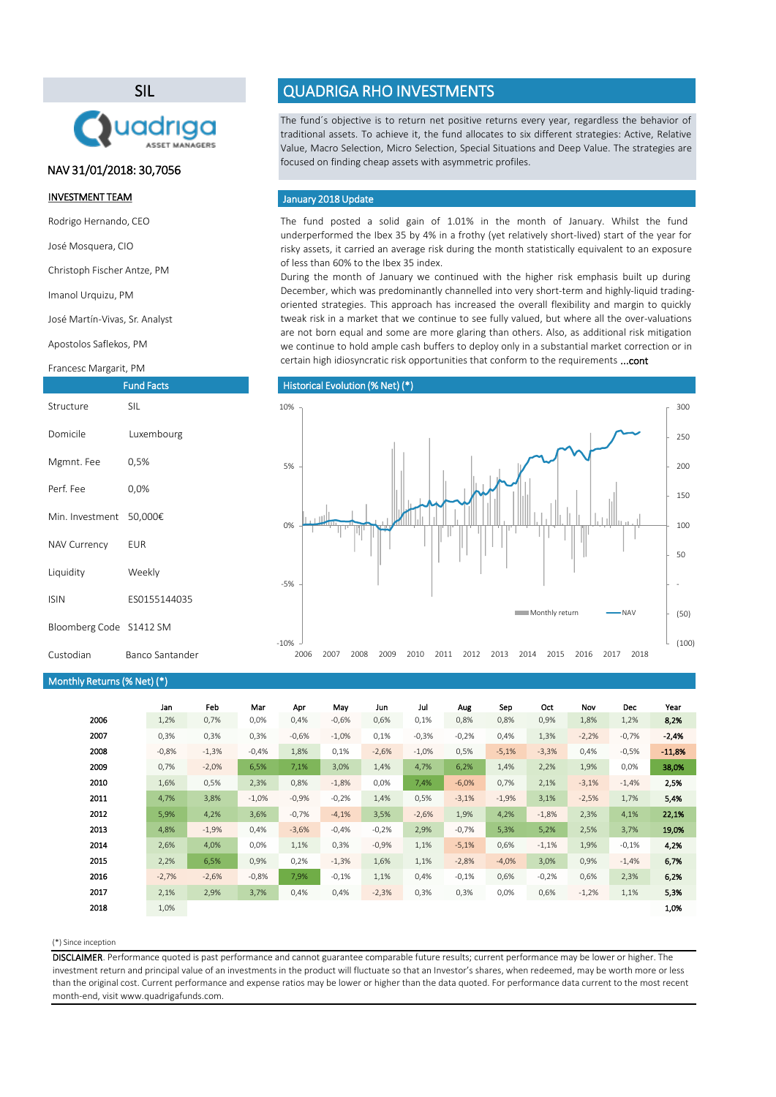#### (\*) Since inception

The fund posted a solid gain of 1.01% in the month of January. Whilst the fund underperformed the Ibex 35 by 4% in a frothy (yet relatively short-lived) start of the year for risky assets, it carried an average risk during the month statistically equivalent to an exposure of less than 60% to the Ibex 35 index.

|      | Jan     | Feb     | Mar      | Apr     | May      | Jun     | Jul     | Aug     | Sep     | Oct     | Nov     | Dec     | Year     |
|------|---------|---------|----------|---------|----------|---------|---------|---------|---------|---------|---------|---------|----------|
| 2006 | 1,2%    | 0,7%    | 0,0%     | 0,4%    | $-0,6%$  | 0,6%    | 0,1%    | 0,8%    | 0,8%    | 0,9%    | 1,8%    | 1,2%    | 8,2%     |
| 2007 | 0,3%    | 0,3%    | 0,3%     | $-0,6%$ | $-1,0\%$ | 0,1%    | $-0,3%$ | $-0,2%$ | 0,4%    | 1,3%    | $-2,2%$ | $-0,7%$ | $-2,4%$  |
| 2008 | $-0,8%$ | $-1,3%$ | $-0,4%$  | 1,8%    | 0,1%     | $-2,6%$ | $-1,0%$ | 0,5%    | $-5,1%$ | $-3,3%$ | 0,4%    | $-0,5%$ | $-11,8%$ |
| 2009 | 0,7%    | $-2,0%$ | 6,5%     | 7,1%    | 3,0%     | 1,4%    | 4,7%    | 6,2%    | 1,4%    | 2,2%    | 1,9%    | 0,0%    | 38,0%    |
| 2010 | 1,6%    | 0,5%    | 2,3%     | 0,8%    | $-1,8%$  | 0,0%    | 7,4%    | $-6,0%$ | 0,7%    | 2,1%    | $-3,1%$ | $-1,4%$ | 2,5%     |
| 2011 | 4,7%    | 3,8%    | $-1,0\%$ | $-0,9%$ | $-0,2%$  | 1,4%    | 0,5%    | $-3,1%$ | $-1,9%$ | 3,1%    | $-2,5%$ | 1,7%    | 5,4%     |
| 2012 | 5,9%    | 4,2%    | 3,6%     | $-0,7%$ | $-4,1%$  | 3,5%    | $-2,6%$ | 1,9%    | 4,2%    | $-1,8%$ | 2,3%    | 4,1%    | 22,1%    |
| 2013 | 4,8%    | $-1,9%$ | 0,4%     | $-3,6%$ | $-0,4%$  | $-0,2%$ | 2,9%    | $-0,7%$ | 5,3%    | 5,2%    | 2,5%    | 3,7%    | 19,0%    |
| 2014 | 2,6%    | 4,0%    | 0,0%     | 1,1%    | 0,3%     | $-0,9%$ | 1,1%    | $-5,1%$ | 0,6%    | $-1,1%$ | 1,9%    | $-0,1%$ | 4,2%     |
| 2015 | 2,2%    | 6,5%    | 0,9%     | 0,2%    | $-1,3%$  | 1,6%    | 1,1%    | $-2,8%$ | $-4,0%$ | 3,0%    | 0,9%    | $-1,4%$ | 6,7%     |
| 2016 | $-2,7%$ | $-2,6%$ | $-0,8%$  | 7,9%    | $-0,1%$  | 1,1%    | 0,4%    | $-0,1%$ | 0,6%    | $-0,2%$ | 0,6%    | 2,3%    | 6,2%     |
| 2017 | 2,1%    | 2,9%    | 3,7%     | 0,4%    | 0,4%     | $-2,3%$ | 0,3%    | 0,3%    | 0,0%    | 0,6%    | $-1,2%$ | 1,1%    | 5,3%     |
| 2018 | 1,0%    |         |          |         |          |         |         |         |         |         |         |         | 1,0%     |
|      |         |         |          |         |          |         |         |         |         |         |         |         |          |

During the month of January we continued with the higher risk emphasis built up during December, which was predominantly channelled into very short-term and highly-liquid tradingoriented strategies. This approach has increased the overall flexibility and margin to quickly tweak risk in a market that we continue to see fully valued, but where all the over-valuations are not born equal and some are more glaring than others. Also, as additional risk mitigation we continue to hold ample cash buffers to deploy only in a substantial market correction or in certain high idiosyncratic risk opportunities that conform to the requirements ...cont

The fund´s objective is to return net positive returns every year, regardless the behavior of traditional assets. To achieve it, the fund allocates to six different strategies: Active, Relative Value, Macro Selection, Micro Selection, Special Situations and Deep Value. The strategies are focused on finding cheap assets with asymmetric profiles.

DISCLAIMER. Performance quoted is past performance and cannot guarantee comparable future results; current performance may be lower or higher. The investment return and principal value of an investments in the product will fluctuate so that an Investor's shares, when redeemed, may be worth more or less than the original cost. Current performance and expense ratios may be lower or higher than the data quoted. For performance data current to the most recent month-end, visit www.quadrigafunds.com.

#### INVESTMENT TEAM

Rodrigo Hernando, CEO

José Mosquera, CIO

Christoph Fischer Antze, PM

Imanol Urquizu, PM

José Martín-Vivas, Sr. Analyst

Apostolos Saflekos, PM

#### Francesc Margarit, PM

# SIL



# QUADRIGA RHO INVESTMENTS

|                         | <b>Fund Facts</b> |
|-------------------------|-------------------|
| Structure               | SIL               |
| Domicile                | Luxembourg        |
| Mgmnt. Fee              | 0,5%              |
| Perf. Fee               | $0,0\%$           |
| Min. Investment         | 50,000€           |
| NAV Currency            | EUR               |
| Liquidity               | Weekly            |
| <b>ISIN</b>             | ES0155144035      |
| Bloomberg Code S1412 SM |                   |

#### Custodian Banco Santander

# Monthly Returns(% Net) (\*)

## January 2018 Update

## NAV 31/01/2018: 30,7056

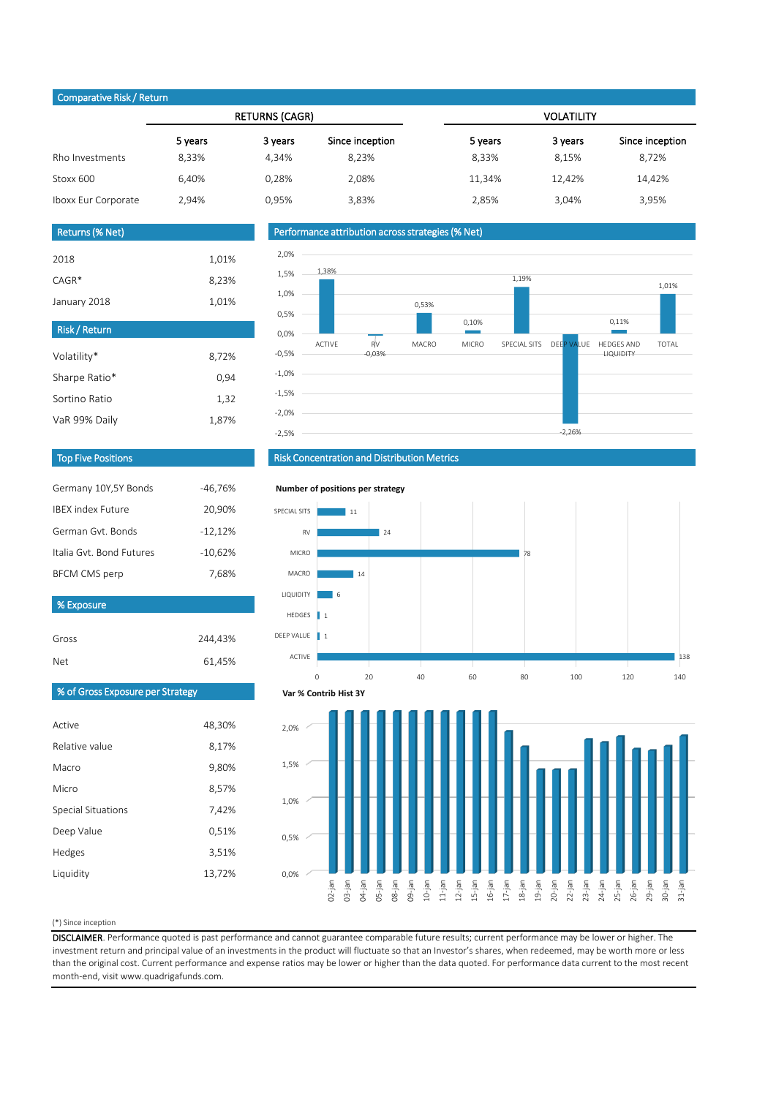#### (\*) Since inception

Gross

DISCLAIMER. Performance quoted is past performance and cannot guarantee comparable future results; current performance may be lower or higher. The investment return and principal value of an investments in the product will fluctuate so that an Investor's shares, when redeemed, may be worth more or less than the original cost. Current performance and expense ratios may be lower or higher than the data quoted. For performance data current to the most recent month-end, visit www.quadrigafunds.com.

| <b>Net</b> | 61,45% |
|------------|--------|
|            |        |

| Comparative inony netarn |         |                       |                 |                   |         |                 |  |  |
|--------------------------|---------|-----------------------|-----------------|-------------------|---------|-----------------|--|--|
|                          |         | <b>RETURNS (CAGR)</b> |                 | <b>VOLATILITY</b> |         |                 |  |  |
|                          | 5 years | 3 years               | Since inception | 5 years           | 3 years | Since inception |  |  |
| Rho Investments          | 8,33%   | 4,34%                 | 8,23%           | 8,33%             | 8,15%   | 8,72%           |  |  |
| Stoxx 600                | 6,40%   | 0,28%                 | 2,08%           | 11,34%            | 12,42%  | 14,42%          |  |  |
| Iboxx Eur Corporate      | 2,94%   | 0,95%                 | 3,83%           | 2,85%             | 3,04%   | 3,95%           |  |  |

244,43%

| 48,30% |
|--------|
| 8,17%  |
| 9,80%  |
| 8,57%  |
| 7,42%  |
| 0,51%  |
| 3,51%  |
| 13,72% |
|        |

| Risk / Return |       |
|---------------|-------|
| Volatility*   | 8,72% |
| Sharpe Ratio* | 0,94  |
| Sortino Ratio | 1,32  |
| VaR 99% Daily | 1,87% |

| % Exposure                    |           |  |  |  |
|-------------------------------|-----------|--|--|--|
| <b>BFCM CMS perp</b><br>7,68% |           |  |  |  |
|                               |           |  |  |  |
| Italia Gyt. Bond Futures      | $-10,62%$ |  |  |  |
| German Gyt. Bonds             | $-12,12%$ |  |  |  |
| <b>IBEX index Future</b>      | 20,90%    |  |  |  |
| Germany 10Y,5Y Bonds          | -46,76%   |  |  |  |

| <b>Returns (% Net)</b> |       |
|------------------------|-------|
|                        |       |
| 2018                   | 1,01% |
| $CAGR*$                | 8,23% |
| January 2018           | 1,01% |

## Top Five Positions

## % of Gross Exposure per Strategy

## Risk Concentration and Distribution Metrics

## Performance attribution across strategies (% Net)

## Comparative Risk / Return









#### **Number of positions per strategy**